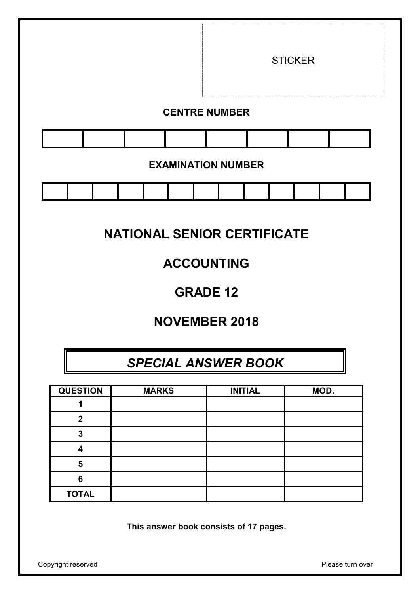

# **NATIONAL SENIOR CERTIFICATE**

# **ACCOUNTING**

## **GRADE 12**

# **NOVEMBER 2018**

# *SPECIAL ANSWER BOOK*

| <b>QUESTION</b> | <b>MARKS</b> | <b>INITIAL</b> | MOD. |
|-----------------|--------------|----------------|------|
|                 |              |                |      |
| $\mathbf 2$     |              |                |      |
| 3               |              |                |      |
|                 |              |                |      |
| 5               |              |                |      |
| 6               |              |                |      |
| <b>TOTAL</b>    |              |                |      |

**This answer book consists of 17 pages.**

Copyright reserved **Please** turn over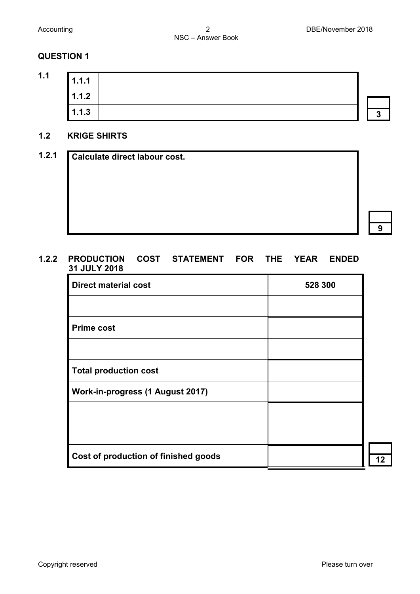

#### **1.2 KRIGE SHIRTS**

| Calculate direct labour cost. |  |  |  |
|-------------------------------|--|--|--|
|                               |  |  |  |
|                               |  |  |  |
|                               |  |  |  |
|                               |  |  |  |
|                               |  |  |  |
|                               |  |  |  |

#### **1.2.2 PRODUCTION COST STATEMENT FOR THE YEAR ENDED 31 JULY 2018**

| <b>Direct material cost</b>          | 528 300 |
|--------------------------------------|---------|
|                                      |         |
| <b>Prime cost</b>                    |         |
|                                      |         |
| <b>Total production cost</b>         |         |
| Work-in-progress (1 August 2017)     |         |
|                                      |         |
|                                      |         |
| Cost of production of finished goods |         |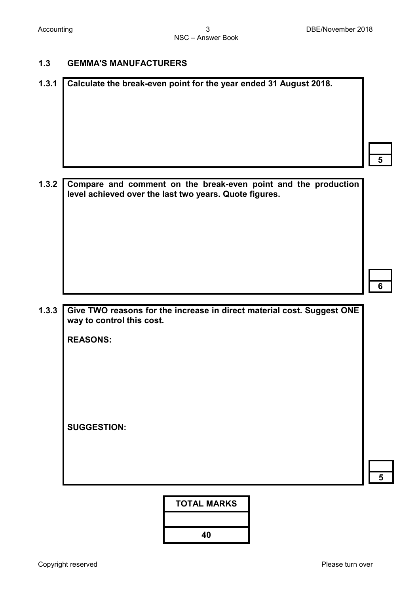#### **1.3 GEMMA'S MANUFACTURERS**

| 1.3.1 |  |  | Calculate the break-even point for the year ended 31 August 2018.    |  |  |  |
|-------|--|--|----------------------------------------------------------------------|--|--|--|
|       |  |  |                                                                      |  |  |  |
|       |  |  |                                                                      |  |  |  |
|       |  |  | 1.3.2 Compare and comment on the break-even point and the production |  |  |  |

**level achieved over the last two years. Quote figures.**

**6**

**5**

**1.3.3 Give TWO reasons for the increase in direct material cost. Suggest ONE way to control this cost.**

**REASONS:** 

**SUGGESTION:**

**5**

**TOTAL MARKS**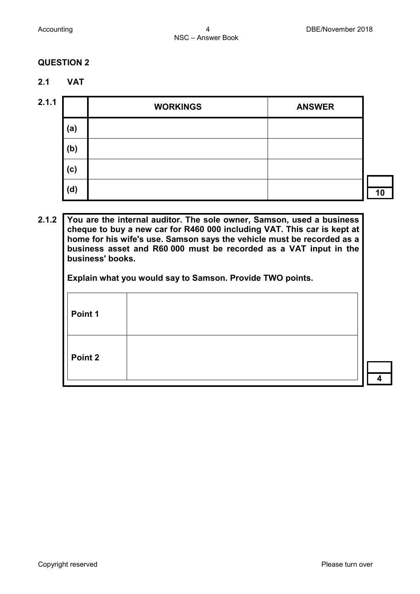- **2.1 VAT**
- 

| 2.1.1 |     | <b>WORKINGS</b> | <b>ANSWER</b> |    |
|-------|-----|-----------------|---------------|----|
|       | (a) |                 |               |    |
|       | (b) |                 |               |    |
|       | (c) |                 |               |    |
|       | (d) |                 |               | 10 |

#### **2.1.2 You are the internal auditor. The sole owner, Samson, used a business cheque to buy a new car for R460 000 including VAT. This car is kept at home for his wife's use. Samson says the vehicle must be recorded as a business asset and R60 000 must be recorded as a VAT input in the business' books.**

**Explain what you would say to Samson. Provide TWO points.**

| Point 1 |  |
|---------|--|
| Point 2 |  |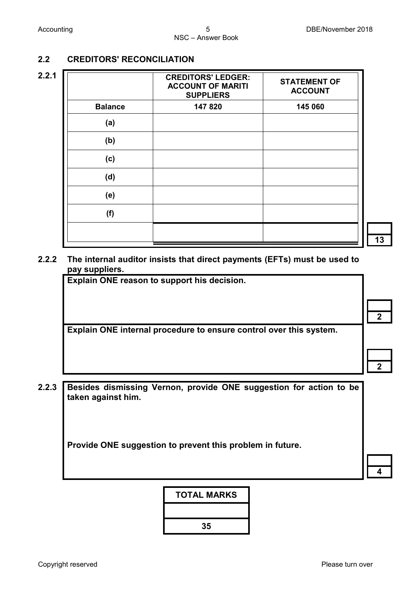### **2.2 CREDITORS' RECONCILIATION**

| 2.2.1 |                | <b>CREDITORS' LEDGER:</b><br><b>ACCOUNT OF MARITI</b><br><b>SUPPLIERS</b> | <b>STATEMENT OF</b><br><b>ACCOUNT</b> |  |
|-------|----------------|---------------------------------------------------------------------------|---------------------------------------|--|
|       | <b>Balance</b> | 147 820                                                                   | 145 060                               |  |
|       | (a)            |                                                                           |                                       |  |
|       | (b)            |                                                                           |                                       |  |
|       | (c)            |                                                                           |                                       |  |
|       | (d)            |                                                                           |                                       |  |
|       | (e)            |                                                                           |                                       |  |
|       | (f)            |                                                                           |                                       |  |
|       |                |                                                                           |                                       |  |

**2.2.2 The internal auditor insists that direct payments (EFTs) must be used to pay suppliers.** 

**Explain ONE reason to support his decision.**

**Explain ONE internal procedure to ensure control over this system.**

- **2**
- **2**

**2.2.3 Besides dismissing Vernon, provide ONE suggestion for action to be taken against him.**

**Provide ONE suggestion to prevent this problem in future.**

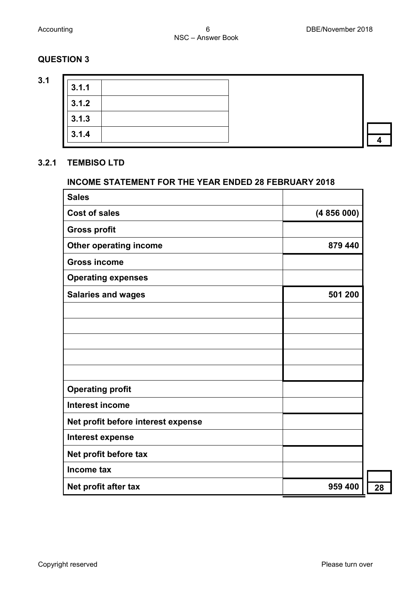**3.1**

| 3.1.1 |  |  |
|-------|--|--|
| 3.1.2 |  |  |
| 3.1.3 |  |  |
| 3.1.4 |  |  |
|       |  |  |

#### **3.2.1 TEMBISO LTD**

#### **INCOME STATEMENT FOR THE YEAR ENDED 28 FEBRUARY 2018**

| <b>Sales</b>                       |           |
|------------------------------------|-----------|
| <b>Cost of sales</b>               | (4856000) |
| <b>Gross profit</b>                |           |
| <b>Other operating income</b>      | 879 440   |
| <b>Gross income</b>                |           |
| <b>Operating expenses</b>          |           |
| <b>Salaries and wages</b>          | 501 200   |
|                                    |           |
|                                    |           |
|                                    |           |
|                                    |           |
|                                    |           |
| <b>Operating profit</b>            |           |
| <b>Interest income</b>             |           |
| Net profit before interest expense |           |
| Interest expense                   |           |
| Net profit before tax              |           |
| Income tax                         |           |
| Net profit after tax               | 959 400   |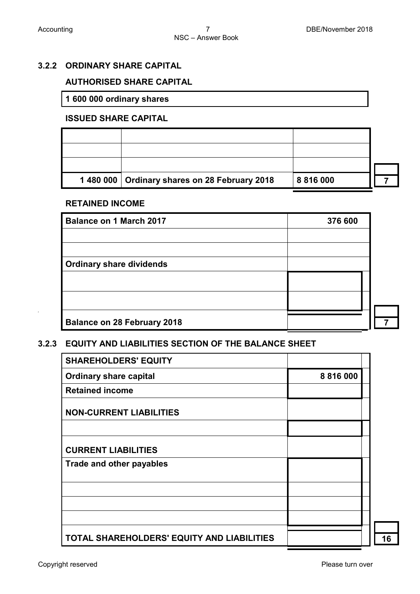2

#### **3.2.2 ORDINARY SHARE CAPITAL**

#### **AUTHORISED SHARE CAPITAL**

**1 600 000 ordinary shares**

#### **ISSUED SHARE CAPITAL**

| 1480 000   Ordinary shares on 28 February 2018 | 8 8 1 6 0 0 0 |  |
|------------------------------------------------|---------------|--|

#### **RETAINED INCOME**

| <b>Balance on 1 March 2017</b><br>376 600 |  |  |
|-------------------------------------------|--|--|
|                                           |  |  |
|                                           |  |  |
| <b>Ordinary share dividends</b>           |  |  |
|                                           |  |  |
|                                           |  |  |
| <b>Balance on 28 February 2018</b>        |  |  |

#### **3.2.3 EQUITY AND LIABILITIES SECTION OF THE BALANCE SHEET**

| <b>SHAREHOLDERS' EQUITY</b>                |               |  |
|--------------------------------------------|---------------|--|
| <b>Ordinary share capital</b>              | 8 8 1 6 0 0 0 |  |
| <b>Retained income</b>                     |               |  |
| <b>NON-CURRENT LIABILITIES</b>             |               |  |
|                                            |               |  |
| <b>CURRENT LIABILITIES</b>                 |               |  |
| Trade and other payables                   |               |  |
|                                            |               |  |
|                                            |               |  |
|                                            |               |  |
| TOTAL SHAREHOLDERS' EQUITY AND LIABILITIES |               |  |

**16**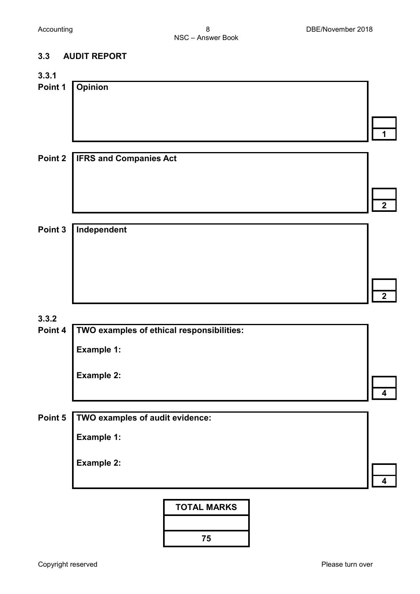### **3.3 AUDIT REPORT**

| 3.3.1   |                                           |                         |
|---------|-------------------------------------------|-------------------------|
| Point 1 | <b>Opinion</b>                            |                         |
|         |                                           | 1                       |
| Point 2 | <b>IFRS and Companies Act</b>             |                         |
|         |                                           | $\overline{2}$          |
|         |                                           |                         |
| Point 3 | Independent                               |                         |
|         |                                           |                         |
|         |                                           | $\overline{2}$          |
| 3.3.2   |                                           |                         |
| Point 4 | TWO examples of ethical responsibilities: |                         |
|         | <b>Example 1:</b>                         |                         |
|         | <b>Example 2:</b>                         |                         |
|         |                                           | 4                       |
| Point 5 | TWO examples of audit evidence:           |                         |
|         | Example 1:                                |                         |
|         | <b>Example 2:</b>                         | $\overline{\mathbf{4}}$ |
|         |                                           |                         |
|         | <b>TOTAL MARKS</b>                        |                         |
|         | 75                                        |                         |
|         |                                           |                         |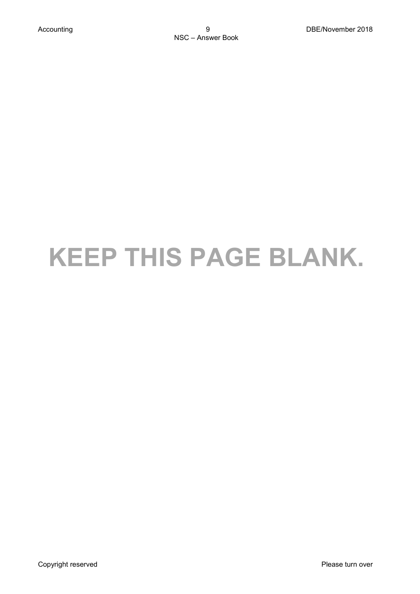# **KEEP THIS PAGE BLANK.**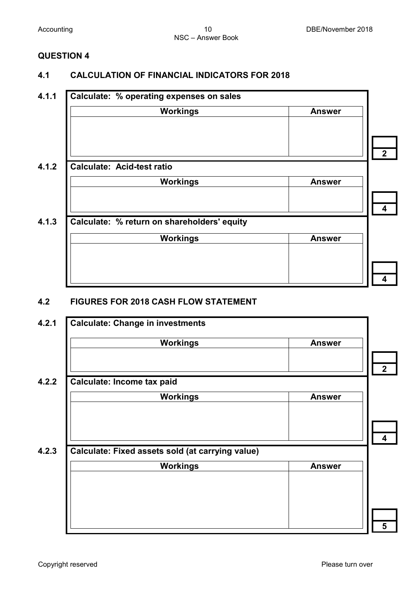#### **4.1 CALCULATION OF FINANCIAL INDICATORS FOR 2018**

#### **4.1.1 Calculate: % operating expenses on sales**

| <b>Workings</b>                             | <b>Answer</b> |
|---------------------------------------------|---------------|
|                                             |               |
| <b>Calculate: Acid-test ratio</b>           |               |
| <b>Workings</b>                             | <b>Answer</b> |
|                                             |               |
| Calculate: % return on shareholders' equity |               |
| <b>Workings</b>                             | <b>Answer</b> |
|                                             |               |
|                                             |               |

#### **4.2 FIGURES FOR 2018 CASH FLOW STATEMENT**

| <b>Workings</b>                                  | <b>Answer</b> |
|--------------------------------------------------|---------------|
|                                                  |               |
|                                                  |               |
| Calculate: Income tax paid                       |               |
| <b>Workings</b>                                  | <b>Answer</b> |
|                                                  |               |
|                                                  |               |
|                                                  |               |
| Calculate: Fixed assets sold (at carrying value) |               |
| <b>Workings</b>                                  | <b>Answer</b> |
|                                                  |               |
|                                                  |               |
|                                                  |               |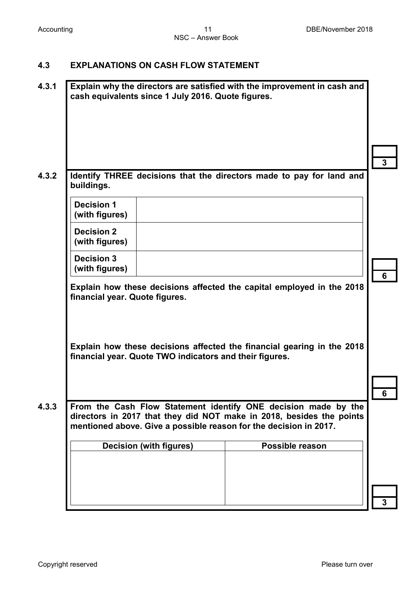#### **4.3 EXPLANATIONS ON CASH FLOW STATEMENT**

| Identify THREE decisions that the directors made to pay for land and<br>buildings.<br><b>Decision 1</b><br>(with figures)<br><b>Decision 2</b><br>(with figures)<br><b>Decision 3</b><br>(with figures)<br>Explain how these decisions affected the capital employed in the 2018<br>financial year. Quote figures.<br>Explain how these decisions affected the financial gearing in the 2018<br>financial year. Quote TWO indicators and their figures.<br>From the Cash Flow Statement identify ONE decision made by the<br>directors in 2017 that they did NOT make in 2018, besides the points<br>mentioned above. Give a possible reason for the decision in 2017.<br>Possible reason<br><b>Decision (with figures)</b> | cash equivalents since 1 July 2016. Quote figures. | Explain why the directors are satisfied with the improvement in cash and |
|-----------------------------------------------------------------------------------------------------------------------------------------------------------------------------------------------------------------------------------------------------------------------------------------------------------------------------------------------------------------------------------------------------------------------------------------------------------------------------------------------------------------------------------------------------------------------------------------------------------------------------------------------------------------------------------------------------------------------------|----------------------------------------------------|--------------------------------------------------------------------------|
|                                                                                                                                                                                                                                                                                                                                                                                                                                                                                                                                                                                                                                                                                                                             |                                                    |                                                                          |
|                                                                                                                                                                                                                                                                                                                                                                                                                                                                                                                                                                                                                                                                                                                             |                                                    |                                                                          |
|                                                                                                                                                                                                                                                                                                                                                                                                                                                                                                                                                                                                                                                                                                                             |                                                    |                                                                          |
|                                                                                                                                                                                                                                                                                                                                                                                                                                                                                                                                                                                                                                                                                                                             |                                                    |                                                                          |
|                                                                                                                                                                                                                                                                                                                                                                                                                                                                                                                                                                                                                                                                                                                             |                                                    |                                                                          |
|                                                                                                                                                                                                                                                                                                                                                                                                                                                                                                                                                                                                                                                                                                                             |                                                    |                                                                          |
|                                                                                                                                                                                                                                                                                                                                                                                                                                                                                                                                                                                                                                                                                                                             |                                                    |                                                                          |
|                                                                                                                                                                                                                                                                                                                                                                                                                                                                                                                                                                                                                                                                                                                             |                                                    |                                                                          |
|                                                                                                                                                                                                                                                                                                                                                                                                                                                                                                                                                                                                                                                                                                                             |                                                    |                                                                          |
|                                                                                                                                                                                                                                                                                                                                                                                                                                                                                                                                                                                                                                                                                                                             |                                                    |                                                                          |
|                                                                                                                                                                                                                                                                                                                                                                                                                                                                                                                                                                                                                                                                                                                             |                                                    |                                                                          |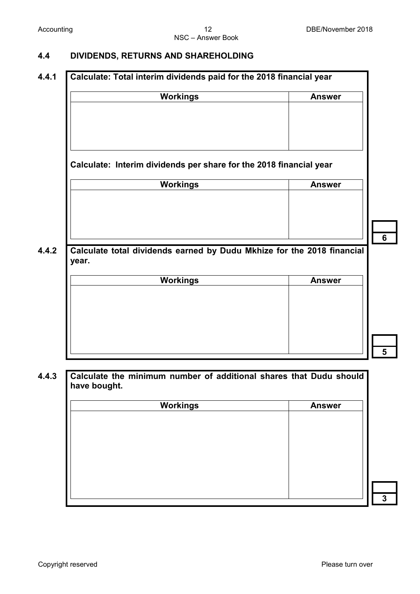#### **4.4 DIVIDENDS, RETURNS AND SHAREHOLDING**

#### **4.4.1 Calculate: Total interim dividends paid for the 2018 financial year**

| <b>Workings</b>                                                                 | <b>Answer</b> |
|---------------------------------------------------------------------------------|---------------|
|                                                                                 |               |
|                                                                                 |               |
|                                                                                 |               |
|                                                                                 |               |
| Calculate: Interim dividends per share for the 2018 financial year              |               |
| <b>Workings</b>                                                                 | <b>Answer</b> |
|                                                                                 |               |
|                                                                                 |               |
|                                                                                 |               |
|                                                                                 |               |
| Calculate total dividends earned by Dudu Mkhize for the 2018 financial<br>year. |               |
| <b>Workings</b>                                                                 | <b>Answer</b> |
|                                                                                 |               |
|                                                                                 |               |
|                                                                                 |               |
|                                                                                 |               |
|                                                                                 |               |

#### **4.4.3 Calculate the minimum number of additional shares that Dudu should have bought.**

| <b>Workings</b> | <b>Answer</b> |
|-----------------|---------------|
|                 |               |
|                 |               |
|                 |               |
|                 |               |
|                 |               |
|                 |               |
|                 |               |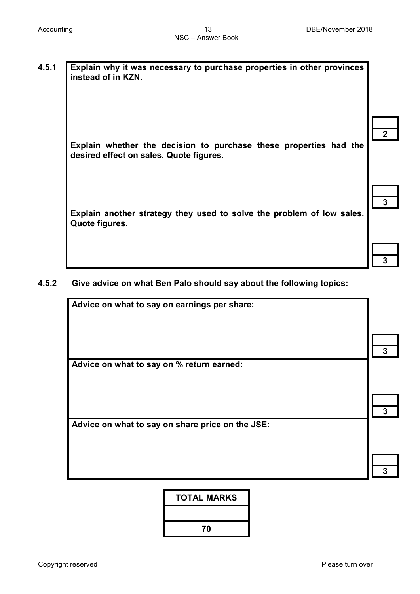| 4.5.1 Explain why it was necessary to purchase properties in other provinces<br>Instead of in KZN. |
|----------------------------------------------------------------------------------------------------|
|                                                                                                    |

**Explain whether the decision to purchase these properties had the desired effect on sales. Quote figures.**

**Explain another strategy they used to solve the problem of low sales. Quote figures.**

| 3 |  |
|---|--|

**3**

**3**

**2**

#### **4.5.2 Give advice on what Ben Palo should say about the following topics:**

**Advice on what to say on earnings per share: 3 Advice on what to say on % return earned: 3 Advice on what to say on share price on the JSE:**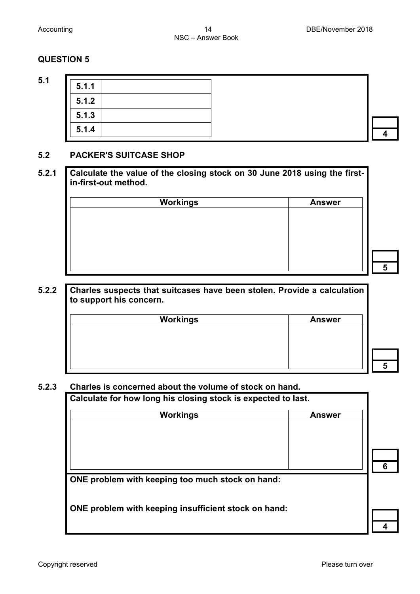**5.1 5.1.1**

| 5.1.1 |  |
|-------|--|
| 5.1.2 |  |
| 5.1.3 |  |
| 5.1.4 |  |

**5**

**5**

**4**

#### **5.2 PACKER'S SUITCASE SHOP**

| 5.2.1 Calculate the value of the closing stock on 30 June 2018 using the first- |
|---------------------------------------------------------------------------------|
| in-first-out method.                                                            |

| Workings | <b>Answer</b> |
|----------|---------------|
|          |               |
|          |               |
|          |               |
|          |               |
|          |               |
|          |               |

#### **5.2.2 Charles suspects that suitcases have been stolen. Provide a calculation to support his concern.**

| <b>Workings</b> | <b>Answer</b> |
|-----------------|---------------|
|                 |               |
|                 |               |
|                 |               |
|                 |               |
|                 |               |

#### **5.2.3 Charles is concerned about the volume of stock on hand.**

**Calculate for how long his closing stock is expected to last.**

| <b>Workings</b>                                      | <b>Answer</b> |   |
|------------------------------------------------------|---------------|---|
|                                                      |               |   |
| ONE problem with keeping too much stock on hand:     |               | 6 |
| ONE problem with keeping insufficient stock on hand: |               |   |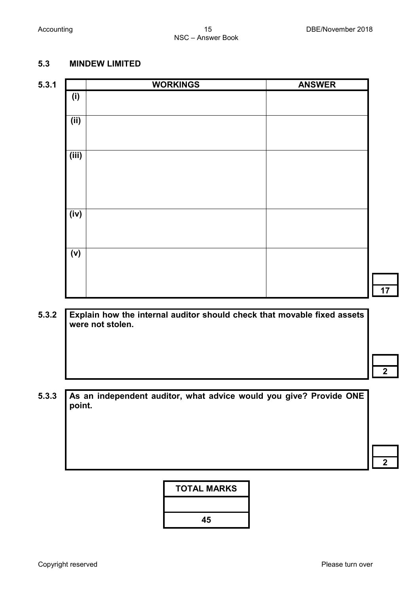#### **5.3 MINDEW LIMITED**

# **5.3.1 WORKINGS ANSWER (i) (ii) (iii) (iv) (v)**

**5.3.2 Explain how the internal auditor should check that movable fixed assets were not stolen.**

**17**

**5.3.3 As an independent auditor, what advice would you give? Provide ONE point.** 

**TOTAL MARKS**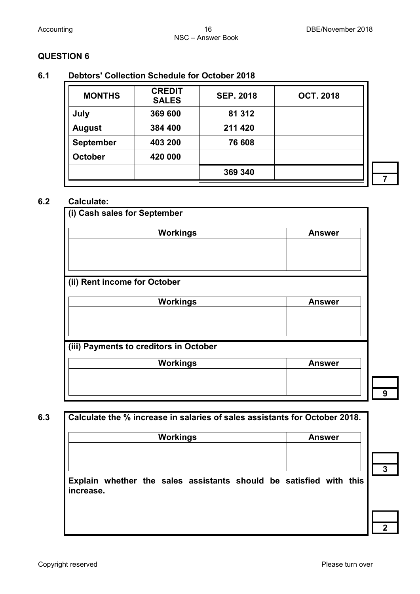#### **6.1 Debtors' Collection Schedule for October 2018**

| <b>MONTHS</b>    | <b>CREDIT</b><br><b>SALES</b> | <b>SEP. 2018</b> | <b>OCT. 2018</b> |
|------------------|-------------------------------|------------------|------------------|
| July             | 369 600                       | 81 312           |                  |
| <b>August</b>    | 384 400                       | 211 420          |                  |
| <b>September</b> | 403 200                       | 76 608           |                  |
| <b>October</b>   | 420 000                       |                  |                  |
|                  |                               | 369 340          |                  |

#### **6.2 Calculate:**

| (i) Cash sales for September           |               |
|----------------------------------------|---------------|
| <b>Workings</b>                        | <b>Answer</b> |
|                                        |               |
|                                        |               |
| (ii) Rent income for October           |               |
| <b>Workings</b>                        | <b>Answer</b> |
|                                        |               |
|                                        |               |
| (iii) Payments to creditors in October |               |
|                                        |               |

| <b>Workings</b> | <b>Answer</b> |
|-----------------|---------------|
|                 |               |
|                 |               |
|                 |               |
|                 |               |

**9**

**7**

### **6.3 Calculate the % increase in salaries of sales assistants for October 2018.**

| Workings                                                                        |  | <b>Answer</b> |  |  |
|---------------------------------------------------------------------------------|--|---------------|--|--|
| Explain whether the sales assistants should be satisfied with this<br>increase. |  |               |  |  |

**2**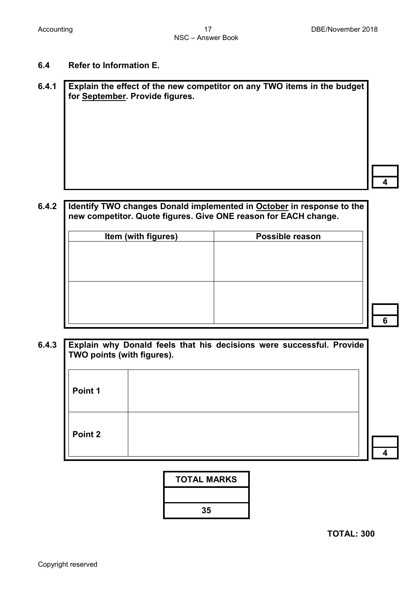**4**

**6**

#### **6.4 Refer to Information E.**

**6.4.1 Explain the effect of the new competitor on any TWO items in the budget for September. Provide figures.**

#### **6.4.2 Identify TWO changes Donald implemented in October in response to the new competitor. Quote figures. Give ONE reason for EACH change.**

| Item (with figures) | Possible reason |
|---------------------|-----------------|
|                     |                 |
|                     |                 |
|                     |                 |
|                     |                 |
|                     |                 |
|                     |                 |
|                     |                 |

**6.4.3 Explain why Donald feels that his decisions were successful. Provide TWO points (with figures).** 

| Point 1 |  |                        |
|---------|--|------------------------|
| Point 2 |  | $\boldsymbol{\Lambda}$ |



**TOTAL: 300**